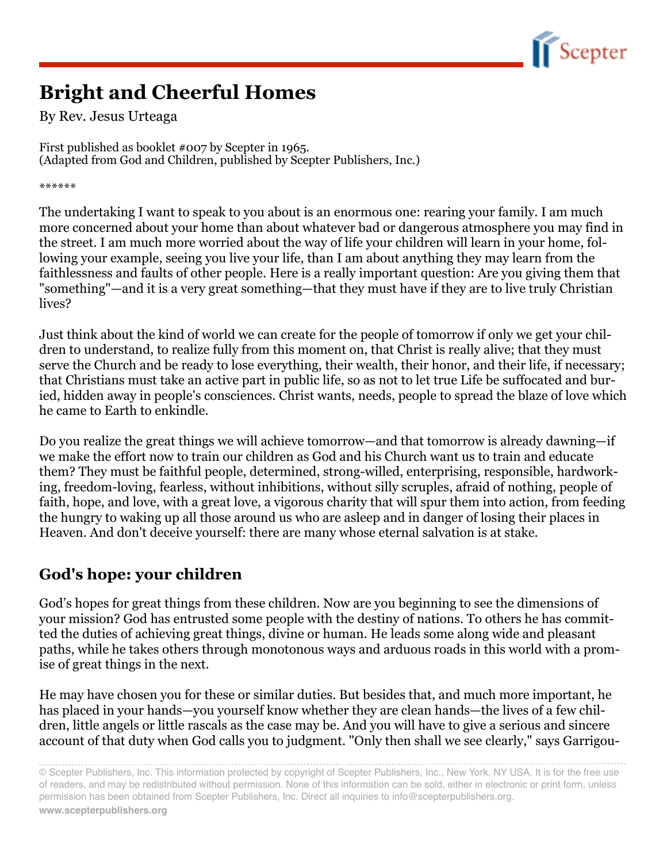

# **Bright and Cheerful Homes**

By Rev. Jesus Urteaga

First published as booklet #007 by Scepter in 1965. (Adapted from God and Children, published by Scepter Publishers, Inc.)

\*\*\*\*\*\*

The undertaking I want to speak to you about is an enormous one: rearing your family. I am much more concerned about your home than about whatever bad or dangerous atmosphere you may find in the street. I am much more worried about the way of life your children will learn in your home, following your example, seeing you live your life, than I am about anything they may learn from the faithlessness and faults of other people. Here is a really important question: Are you giving them that "something"—and it is a very great something—that they must have if they are to live truly Christian lives?

Just think about the kind of world we can create for the people of tomorrow if only we get your children to understand, to realize fully from this moment on, that Christ is really alive; that they must serve the Church and be ready to lose everything, their wealth, their honor, and their life, if necessary; that Christians must take an active part in public life, so as not to let true Life be suffocated and buried, hidden away in people's consciences. Christ wants, needs, people to spread the blaze of love which he came to Earth to enkindle.

Do you realize the great things we will achieve tomorrow—and that tomorrow is already dawning—if we make the effort now to train our children as God and his Church want us to train and educate them? They must be faithful people, determined, strong-willed, enterprising, responsible, hardworking, freedom-loving, fearless, without inhibitions, without silly scruples, afraid of nothing, people of faith, hope, and love, with a great love, a vigorous charity that will spur them into action, from feeding the hungry to waking up all those around us who are asleep and in danger of losing their places in Heaven. And don't deceive yourself: there are many whose eternal salvation is at stake.

## **God's hope: your children**

God's hopes for great things from these children. Now are you beginning to see the dimensions of your mission? God has entrusted some people with the destiny of nations. To others he has committed the duties of achieving great things, divine or human. He leads some along wide and pleasant paths, while he takes others through monotonous ways and arduous roads in this world with a promise of great things in the next.

He may have chosen you for these or similar duties. But besides that, and much more important, he has placed in your hands—you yourself know whether they are clean hands—the lives of a few children, little angels or little rascals as the case may be. And you will have to give a serious and sincere account of that duty when God calls you to judgment. "Only then shall we see clearly," says Garrigou-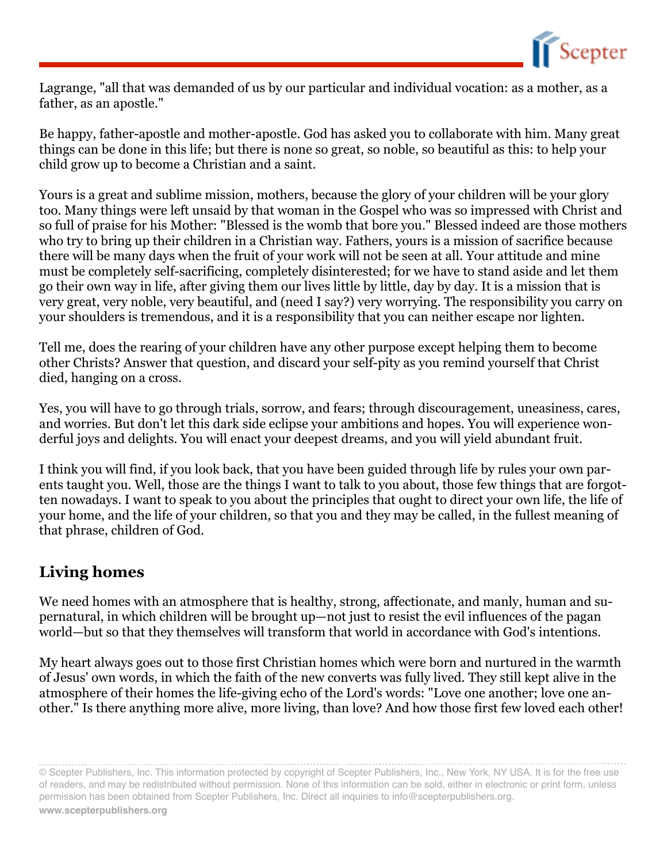

Lagrange, "all that was demanded of us by our particular and individual vocation: as a mother, as a father, as an apostle."

Be happy, father-apostle and mother-apostle. God has asked you to collaborate with him. Many great things can be done in this life; but there is none so great, so noble, so beautiful as this: to help your child grow up to become a Christian and a saint.

Yours is a great and sublime mission, mothers, because the glory of your children will be your glory too. Many things were left unsaid by that woman in the Gospel who was so impressed with Christ and so full of praise for his Mother: "Blessed is the womb that bore you." Blessed indeed are those mothers who try to bring up their children in a Christian way. Fathers, yours is a mission of sacrifice because there will be many days when the fruit of your work will not be seen at all. Your attitude and mine must be completely self-sacrificing, completely disinterested; for we have to stand aside and let them go their own way in life, after giving them our lives little by little, day by day. It is a mission that is very great, very noble, very beautiful, and (need I say?) very worrying. The responsibility you carry on your shoulders is tremendous, and it is a responsibility that you can neither escape nor lighten.

Tell me, does the rearing of your children have any other purpose except helping them to become other Christs? Answer that question, and discard your self-pity as you remind yourself that Christ died, hanging on a cross.

Yes, you will have to go through trials, sorrow, and fears; through discouragement, uneasiness, cares, and worries. But don't let this dark side eclipse your ambitions and hopes. You will experience wonderful joys and delights. You will enact your deepest dreams, and you will yield abundant fruit.

I think you will find, if you look back, that you have been guided through life by rules your own parents taught you. Well, those are the things I want to talk to you about, those few things that are forgotten nowadays. I want to speak to you about the principles that ought to direct your own life, the life of your home, and the life of your children, so that you and they may be called, in the fullest meaning of that phrase, children of God.

### **Living homes**

We need homes with an atmosphere that is healthy, strong, affectionate, and manly, human and supernatural, in which children will be brought up—not just to resist the evil influences of the pagan world—but so that they themselves will transform that world in accordance with God's intentions.

My heart always goes out to those first Christian homes which were born and nurtured in the warmth of Jesus' own words, in which the faith of the new converts was fully lived. They still kept alive in the atmosphere of their homes the life-giving echo of the Lord's words: "Love one another; love one another." Is there anything more alive, more living, than love? And how those first few loved each other!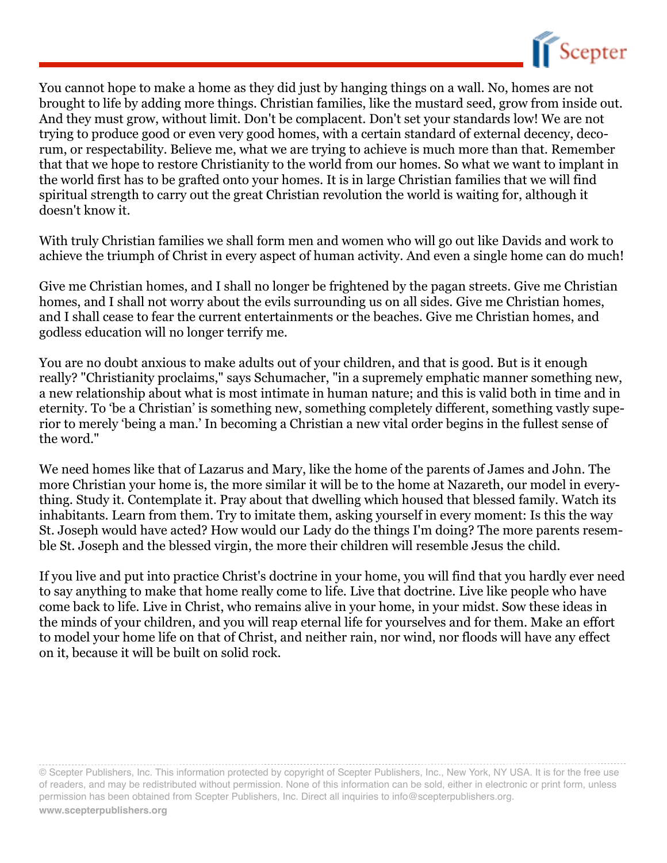

You cannot hope to make a home as they did just by hanging things on a wall. No, homes are not brought to life by adding more things. Christian families, like the mustard seed, grow from inside out. And they must grow, without limit. Don't be complacent. Don't set your standards low! We are not trying to produce good or even very good homes, with a certain standard of external decency, decorum, or respectability. Believe me, what we are trying to achieve is much more than that. Remember that that we hope to restore Christianity to the world from our homes. So what we want to implant in the world first has to be grafted onto your homes. It is in large Christian families that we will find spiritual strength to carry out the great Christian revolution the world is waiting for, although it doesn't know it.

With truly Christian families we shall form men and women who will go out like Davids and work to achieve the triumph of Christ in every aspect of human activity. And even a single home can do much!

Give me Christian homes, and I shall no longer be frightened by the pagan streets. Give me Christian homes, and I shall not worry about the evils surrounding us on all sides. Give me Christian homes, and I shall cease to fear the current entertainments or the beaches. Give me Christian homes, and godless education will no longer terrify me.

You are no doubt anxious to make adults out of your children, and that is good. But is it enough really? "Christianity proclaims," says Schumacher, "in a supremely emphatic manner something new, a new relationship about what is most intimate in human nature; and this is valid both in time and in eternity. To 'be a Christian' is something new, something completely different, something vastly superior to merely 'being a man.' In becoming a Christian a new vital order begins in the fullest sense of the word."

We need homes like that of Lazarus and Mary, like the home of the parents of James and John. The more Christian your home is, the more similar it will be to the home at Nazareth, our model in everything. Study it. Contemplate it. Pray about that dwelling which housed that blessed family. Watch its inhabitants. Learn from them. Try to imitate them, asking yourself in every moment: Is this the way St. Joseph would have acted? How would our Lady do the things I'm doing? The more parents resemble St. Joseph and the blessed virgin, the more their children will resemble Jesus the child.

If you live and put into practice Christ's doctrine in your home, you will find that you hardly ever need to say anything to make that home really come to life. Live that doctrine. Live like people who have come back to life. Live in Christ, who remains alive in your home, in your midst. Sow these ideas in the minds of your children, and you will reap eternal life for yourselves and for them. Make an effort to model your home life on that of Christ, and neither rain, nor wind, nor floods will have any effect on it, because it will be built on solid rock.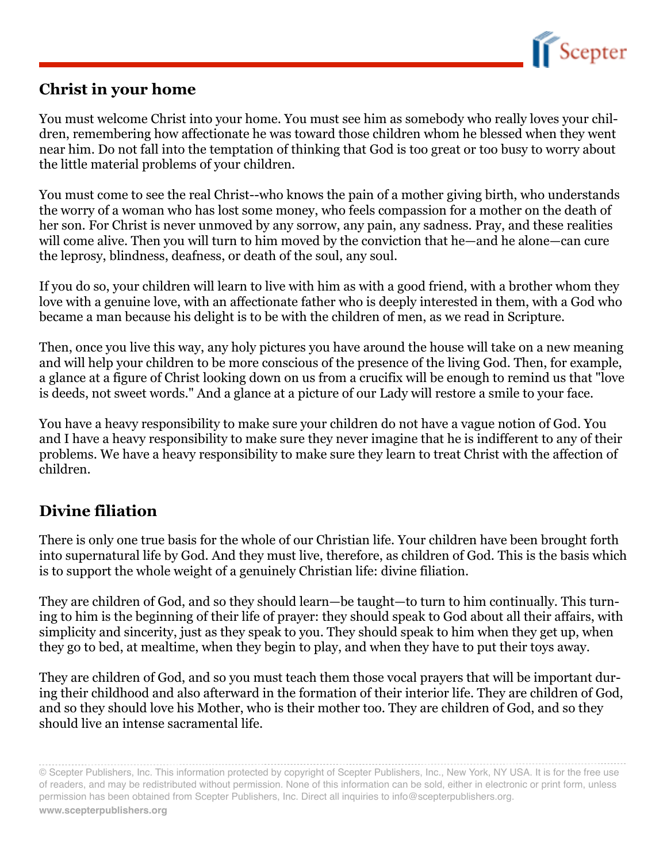

#### **Christ in your home**

You must welcome Christ into your home. You must see him as somebody who really loves your children, remembering how affectionate he was toward those children whom he blessed when they went near him. Do not fall into the temptation of thinking that God is too great or too busy to worry about the little material problems of your children.

You must come to see the real Christ--who knows the pain of a mother giving birth, who understands the worry of a woman who has lost some money, who feels compassion for a mother on the death of her son. For Christ is never unmoved by any sorrow, any pain, any sadness. Pray, and these realities will come alive. Then you will turn to him moved by the conviction that he—and he alone—can cure the leprosy, blindness, deafness, or death of the soul, any soul.

If you do so, your children will learn to live with him as with a good friend, with a brother whom they love with a genuine love, with an affectionate father who is deeply interested in them, with a God who became a man because his delight is to be with the children of men, as we read in Scripture.

Then, once you live this way, any holy pictures you have around the house will take on a new meaning and will help your children to be more conscious of the presence of the living God. Then, for example, a glance at a figure of Christ looking down on us from a crucifix will be enough to remind us that "love is deeds, not sweet words." And a glance at a picture of our Lady will restore a smile to your face.

You have a heavy responsibility to make sure your children do not have a vague notion of God. You and I have a heavy responsibility to make sure they never imagine that he is indifferent to any of their problems. We have a heavy responsibility to make sure they learn to treat Christ with the affection of children.

### **Divine filiation**

There is only one true basis for the whole of our Christian life. Your children have been brought forth into supernatural life by God. And they must live, therefore, as children of God. This is the basis which is to support the whole weight of a genuinely Christian life: divine filiation.

They are children of God, and so they should learn—be taught—to turn to him continually. This turning to him is the beginning of their life of prayer: they should speak to God about all their affairs, with simplicity and sincerity, just as they speak to you. They should speak to him when they get up, when they go to bed, at mealtime, when they begin to play, and when they have to put their toys away.

They are children of God, and so you must teach them those vocal prayers that will be important during their childhood and also afterward in the formation of their interior life. They are children of God, and so they should love his Mother, who is their mother too. They are children of God, and so they should live an intense sacramental life.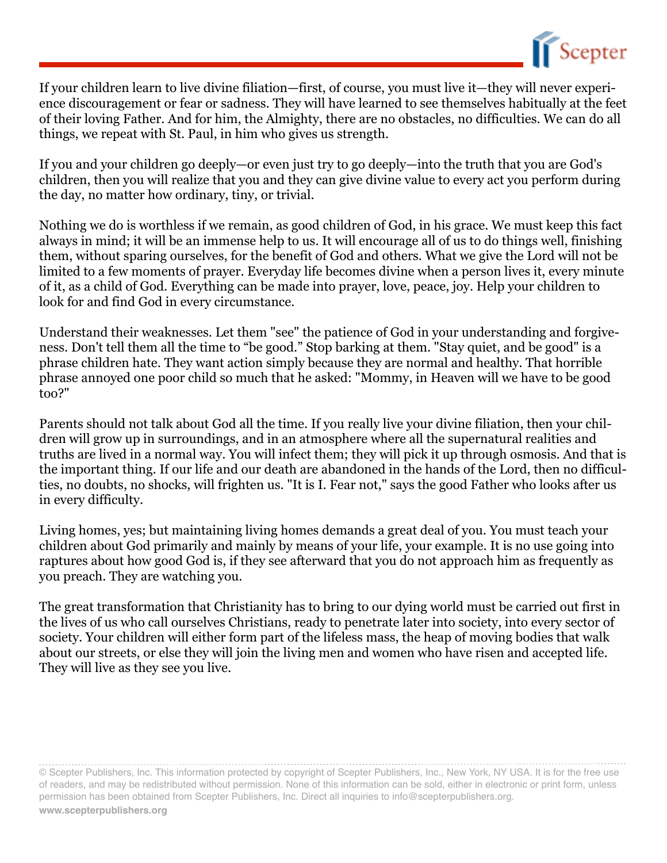

If your children learn to live divine filiation—first, of course, you must live it—they will never experience discouragement or fear or sadness. They will have learned to see themselves habitually at the feet of their loving Father. And for him, the Almighty, there are no obstacles, no difficulties. We can do all things, we repeat with St. Paul, in him who gives us strength.

If you and your children go deeply—or even just try to go deeply—into the truth that you are God's children, then you will realize that you and they can give divine value to every act you perform during the day, no matter how ordinary, tiny, or trivial.

Nothing we do is worthless if we remain, as good children of God, in his grace. We must keep this fact always in mind; it will be an immense help to us. It will encourage all of us to do things well, finishing them, without sparing ourselves, for the benefit of God and others. What we give the Lord will not be limited to a few moments of prayer. Everyday life becomes divine when a person lives it, every minute of it, as a child of God. Everything can be made into prayer, love, peace, joy. Help your children to look for and find God in every circumstance.

Understand their weaknesses. Let them "see" the patience of God in your understanding and forgiveness. Don't tell them all the time to "be good." Stop barking at them. "Stay quiet, and be good" is a phrase children hate. They want action simply because they are normal and healthy. That horrible phrase annoyed one poor child so much that he asked: "Mommy, in Heaven will we have to be good too?"

Parents should not talk about God all the time. If you really live your divine filiation, then your children will grow up in surroundings, and in an atmosphere where all the supernatural realities and truths are lived in a normal way. You will infect them; they will pick it up through osmosis. And that is the important thing. If our life and our death are abandoned in the hands of the Lord, then no difficulties, no doubts, no shocks, will frighten us. "It is I. Fear not," says the good Father who looks after us in every difficulty.

Living homes, yes; but maintaining living homes demands a great deal of you. You must teach your children about God primarily and mainly by means of your life, your example. It is no use going into raptures about how good God is, if they see afterward that you do not approach him as frequently as you preach. They are watching you.

The great transformation that Christianity has to bring to our dying world must be carried out first in the lives of us who call ourselves Christians, ready to penetrate later into society, into every sector of society. Your children will either form part of the lifeless mass, the heap of moving bodies that walk about our streets, or else they will join the living men and women who have risen and accepted life. They will live as they see you live.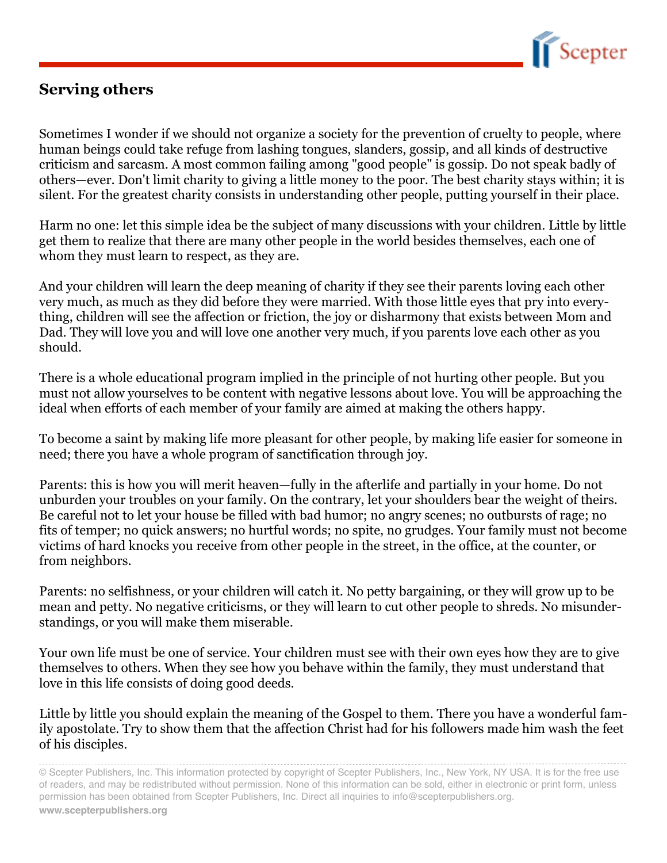

#### **Serving others**

Sometimes I wonder if we should not organize a society for the prevention of cruelty to people, where human beings could take refuge from lashing tongues, slanders, gossip, and all kinds of destructive criticism and sarcasm. A most common failing among "good people" is gossip. Do not speak badly of others—ever. Don't limit charity to giving a little money to the poor. The best charity stays within; it is silent. For the greatest charity consists in understanding other people, putting yourself in their place.

Harm no one: let this simple idea be the subject of many discussions with your children. Little by little get them to realize that there are many other people in the world besides themselves, each one of whom they must learn to respect, as they are.

And your children will learn the deep meaning of charity if they see their parents loving each other very much, as much as they did before they were married. With those little eyes that pry into everything, children will see the affection or friction, the joy or disharmony that exists between Mom and Dad. They will love you and will love one another very much, if you parents love each other as you should.

There is a whole educational program implied in the principle of not hurting other people. But you must not allow yourselves to be content with negative lessons about love. You will be approaching the ideal when efforts of each member of your family are aimed at making the others happy.

To become a saint by making life more pleasant for other people, by making life easier for someone in need; there you have a whole program of sanctification through joy.

Parents: this is how you will merit heaven—fully in the afterlife and partially in your home. Do not unburden your troubles on your family. On the contrary, let your shoulders bear the weight of theirs. Be careful not to let your house be filled with bad humor; no angry scenes; no outbursts of rage; no fits of temper; no quick answers; no hurtful words; no spite, no grudges. Your family must not become victims of hard knocks you receive from other people in the street, in the office, at the counter, or from neighbors.

Parents: no selfishness, or your children will catch it. No petty bargaining, or they will grow up to be mean and petty. No negative criticisms, or they will learn to cut other people to shreds. No misunderstandings, or you will make them miserable.

Your own life must be one of service. Your children must see with their own eyes how they are to give themselves to others. When they see how you behave within the family, they must understand that love in this life consists of doing good deeds.

Little by little you should explain the meaning of the Gospel to them. There you have a wonderful family apostolate. Try to show them that the affection Christ had for his followers made him wash the feet of his disciples.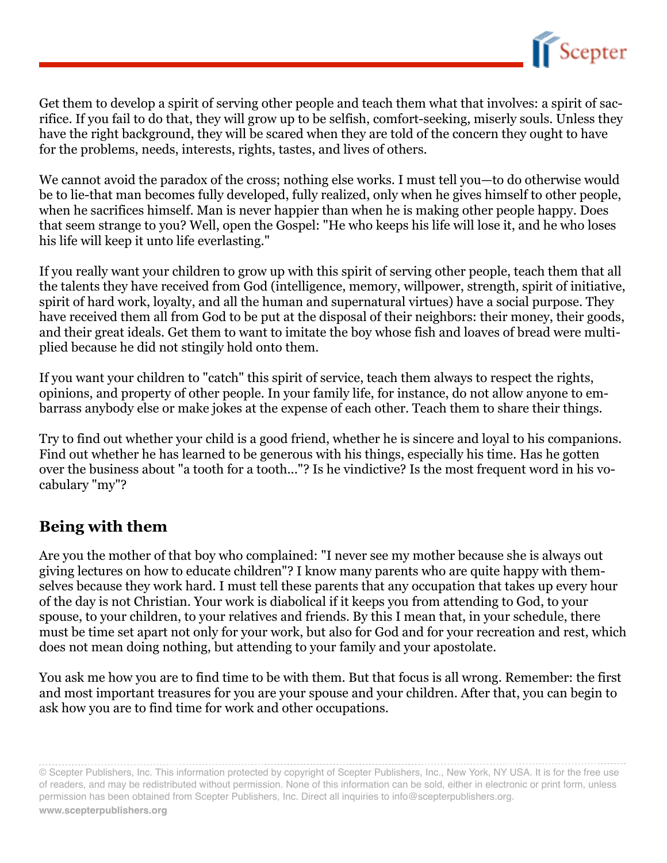

Get them to develop a spirit of serving other people and teach them what that involves: a spirit of sacrifice. If you fail to do that, they will grow up to be selfish, comfort-seeking, miserly souls. Unless they have the right background, they will be scared when they are told of the concern they ought to have for the problems, needs, interests, rights, tastes, and lives of others.

We cannot avoid the paradox of the cross; nothing else works. I must tell you—to do otherwise would be to lie-that man becomes fully developed, fully realized, only when he gives himself to other people, when he sacrifices himself. Man is never happier than when he is making other people happy. Does that seem strange to you? Well, open the Gospel: "He who keeps his life will lose it, and he who loses his life will keep it unto life everlasting."

If you really want your children to grow up with this spirit of serving other people, teach them that all the talents they have received from God (intelligence, memory, willpower, strength, spirit of initiative, spirit of hard work, loyalty, and all the human and supernatural virtues) have a social purpose. They have received them all from God to be put at the disposal of their neighbors: their money, their goods, and their great ideals. Get them to want to imitate the boy whose fish and loaves of bread were multiplied because he did not stingily hold onto them.

If you want your children to "catch" this spirit of service, teach them always to respect the rights, opinions, and property of other people. In your family life, for instance, do not allow anyone to embarrass anybody else or make jokes at the expense of each other. Teach them to share their things.

Try to find out whether your child is a good friend, whether he is sincere and loyal to his companions. Find out whether he has learned to be generous with his things, especially his time. Has he gotten over the business about "a tooth for a tooth..."? Is he vindictive? Is the most frequent word in his vocabulary "my"?

#### **Being with them**

Are you the mother of that boy who complained: "I never see my mother because she is always out giving lectures on how to educate children"? I know many parents who are quite happy with themselves because they work hard. I must tell these parents that any occupation that takes up every hour of the day is not Christian. Your work is diabolical if it keeps you from attending to God, to your spouse, to your children, to your relatives and friends. By this I mean that, in your schedule, there must be time set apart not only for your work, but also for God and for your recreation and rest, which does not mean doing nothing, but attending to your family and your apostolate.

You ask me how you are to find time to be with them. But that focus is all wrong. Remember: the first and most important treasures for you are your spouse and your children. After that, you can begin to ask how you are to find time for work and other occupations.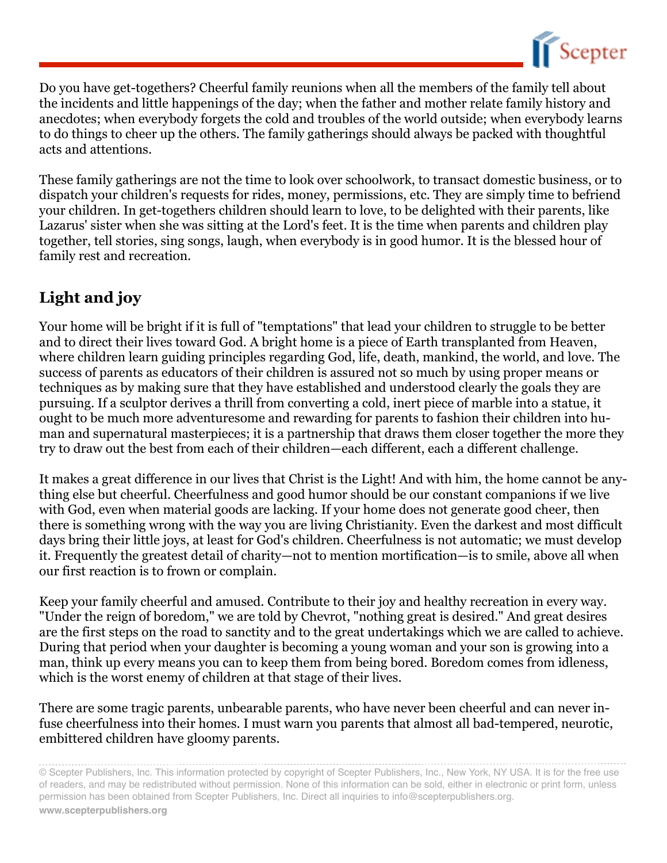

Do you have get-togethers? Cheerful family reunions when all the members of the family tell about the incidents and little happenings of the day; when the father and mother relate family history and anecdotes; when everybody forgets the cold and troubles of the world outside; when everybody learns to do things to cheer up the others. The family gatherings should always be packed with thoughtful acts and attentions.

These family gatherings are not the time to look over schoolwork, to transact domestic business, or to dispatch your children's requests for rides, money, permissions, etc. They are simply time to befriend your children. In get-togethers children should learn to love, to be delighted with their parents, like Lazarus' sister when she was sitting at the Lord's feet. It is the time when parents and children play together, tell stories, sing songs, laugh, when everybody is in good humor. It is the blessed hour of family rest and recreation.

## **Light and joy**

Your home will be bright if it is full of "temptations" that lead your children to struggle to be better and to direct their lives toward God. A bright home is a piece of Earth transplanted from Heaven, where children learn guiding principles regarding God, life, death, mankind, the world, and love. The success of parents as educators of their children is assured not so much by using proper means or techniques as by making sure that they have established and understood clearly the goals they are pursuing. If a sculptor derives a thrill from converting a cold, inert piece of marble into a statue, it ought to be much more adventuresome and rewarding for parents to fashion their children into human and supernatural masterpieces; it is a partnership that draws them closer together the more they try to draw out the best from each of their children—each different, each a different challenge.

It makes a great difference in our lives that Christ is the Light! And with him, the home cannot be anything else but cheerful. Cheerfulness and good humor should be our constant companions if we live with God, even when material goods are lacking. If your home does not generate good cheer, then there is something wrong with the way you are living Christianity. Even the darkest and most difficult days bring their little joys, at least for God's children. Cheerfulness is not automatic; we must develop it. Frequently the greatest detail of charity—not to mention mortification—is to smile, above all when our first reaction is to frown or complain.

Keep your family cheerful and amused. Contribute to their joy and healthy recreation in every way. "Under the reign of boredom," we are told by Chevrot, "nothing great is desired." And great desires are the first steps on the road to sanctity and to the great undertakings which we are called to achieve. During that period when your daughter is becoming a young woman and your son is growing into a man, think up every means you can to keep them from being bored. Boredom comes from idleness, which is the worst enemy of children at that stage of their lives.

There are some tragic parents, unbearable parents, who have never been cheerful and can never infuse cheerfulness into their homes. I must warn you parents that almost all bad-tempered, neurotic, embittered children have gloomy parents.

<sup>©</sup> Scepter Publishers, Inc. This information protected by copyright of Scepter Publishers, Inc., New York, NY USA. It is for the free use of readers, and may be redistributed without permission. None of this information can be sold, either in electronic or print form, unless permission has been obtained from Scepter Publishers, Inc. Direct all inquiries to info@scepterpublishers.org. **www.scepterpublishers.org**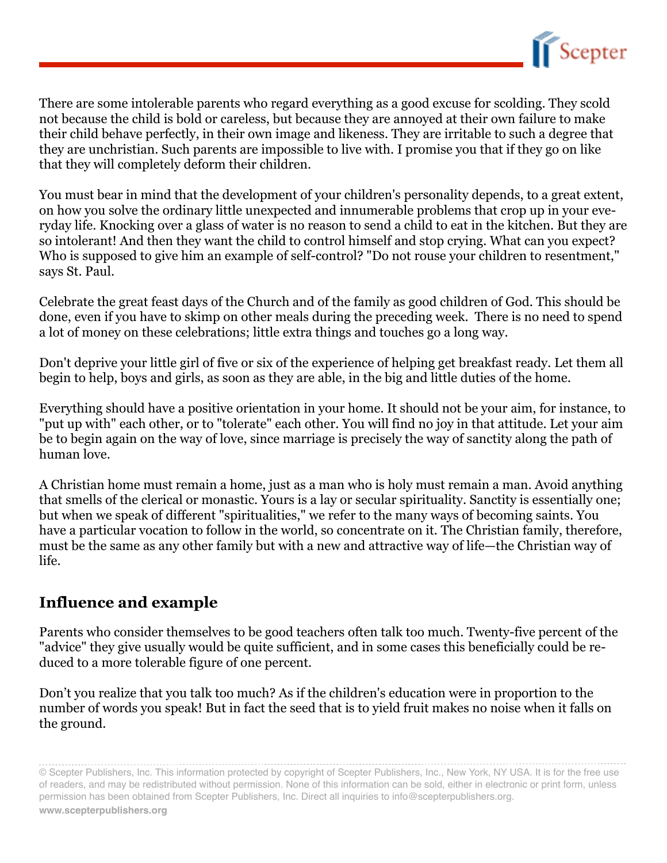

There are some intolerable parents who regard everything as a good excuse for scolding. They scold not because the child is bold or careless, but because they are annoyed at their own failure to make their child behave perfectly, in their own image and likeness. They are irritable to such a degree that they are unchristian. Such parents are impossible to live with. I promise you that if they go on like that they will completely deform their children.

You must bear in mind that the development of your children's personality depends, to a great extent, on how you solve the ordinary little unexpected and innumerable problems that crop up in your everyday life. Knocking over a glass of water is no reason to send a child to eat in the kitchen. But they are so intolerant! And then they want the child to control himself and stop crying. What can you expect? Who is supposed to give him an example of self-control? "Do not rouse your children to resentment," says St. Paul.

Celebrate the great feast days of the Church and of the family as good children of God. This should be done, even if you have to skimp on other meals during the preceding week. There is no need to spend a lot of money on these celebrations; little extra things and touches go a long way.

Don't deprive your little girl of five or six of the experience of helping get breakfast ready. Let them all begin to help, boys and girls, as soon as they are able, in the big and little duties of the home.

Everything should have a positive orientation in your home. It should not be your aim, for instance, to "put up with" each other, or to "tolerate" each other. You will find no joy in that attitude. Let your aim be to begin again on the way of love, since marriage is precisely the way of sanctity along the path of human love.

A Christian home must remain a home, just as a man who is holy must remain a man. Avoid anything that smells of the clerical or monastic. Yours is a lay or secular spirituality. Sanctity is essentially one; but when we speak of different "spiritualities," we refer to the many ways of becoming saints. You have a particular vocation to follow in the world, so concentrate on it. The Christian family, therefore, must be the same as any other family but with a new and attractive way of life—the Christian way of life.

#### **Influence and example**

Parents who consider themselves to be good teachers often talk too much. Twenty-five percent of the "advice" they give usually would be quite sufficient, and in some cases this beneficially could be reduced to a more tolerable figure of one percent.

Don't you realize that you talk too much? As if the children's education were in proportion to the number of words you speak! But in fact the seed that is to yield fruit makes no noise when it falls on the ground.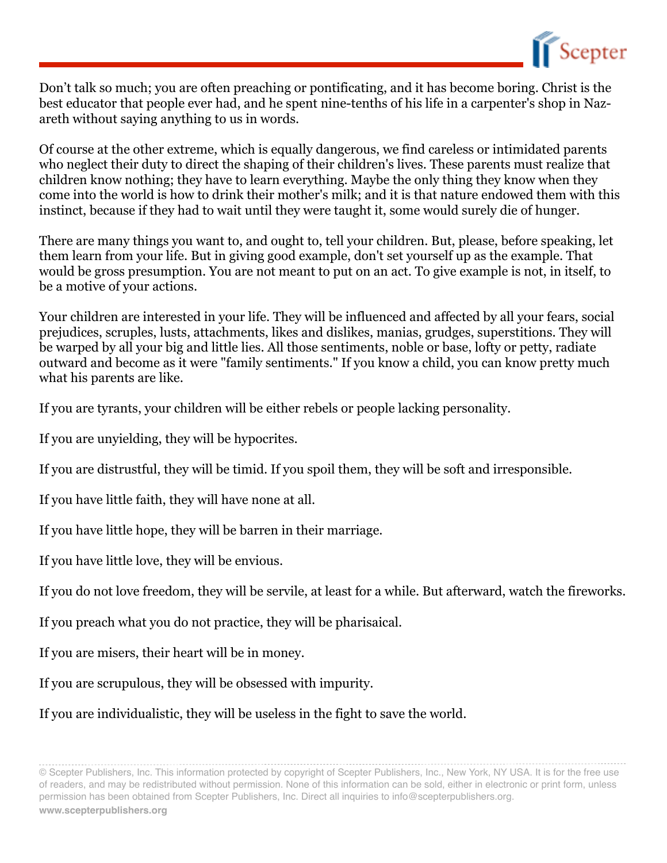

Don't talk so much; you are often preaching or pontificating, and it has become boring. Christ is the best educator that people ever had, and he spent nine-tenths of his life in a carpenter's shop in Nazareth without saying anything to us in words.

Of course at the other extreme, which is equally dangerous, we find careless or intimidated parents who neglect their duty to direct the shaping of their children's lives. These parents must realize that children know nothing; they have to learn everything. Maybe the only thing they know when they come into the world is how to drink their mother's milk; and it is that nature endowed them with this instinct, because if they had to wait until they were taught it, some would surely die of hunger.

There are many things you want to, and ought to, tell your children. But, please, before speaking, let them learn from your life. But in giving good example, don't set yourself up as the example. That would be gross presumption. You are not meant to put on an act. To give example is not, in itself, to be a motive of your actions.

Your children are interested in your life. They will be influenced and affected by all your fears, social prejudices, scruples, lusts, attachments, likes and dislikes, manias, grudges, superstitions. They will be warped by all your big and little lies. All those sentiments, noble or base, lofty or petty, radiate outward and become as it were "family sentiments." If you know a child, you can know pretty much what his parents are like.

If you are tyrants, your children will be either rebels or people lacking personality.

If you are unyielding, they will be hypocrites.

If you are distrustful, they will be timid. If you spoil them, they will be soft and irresponsible.

If you have little faith, they will have none at all.

If you have little hope, they will be barren in their marriage.

If you have little love, they will be envious.

If you do not love freedom, they will be servile, at least for a while. But afterward, watch the fireworks.

If you preach what you do not practice, they will be pharisaical.

If you are misers, their heart will be in money.

If you are scrupulous, they will be obsessed with impurity.

If you are individualistic, they will be useless in the fight to save the world.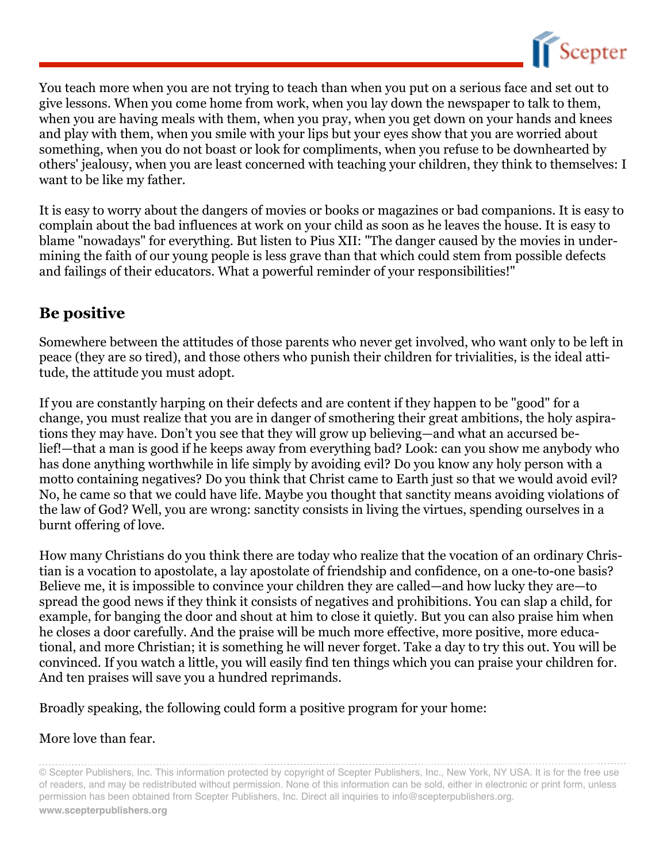

You teach more when you are not trying to teach than when you put on a serious face and set out to give lessons. When you come home from work, when you lay down the newspaper to talk to them, when you are having meals with them, when you pray, when you get down on your hands and knees and play with them, when you smile with your lips but your eyes show that you are worried about something, when you do not boast or look for compliments, when you refuse to be downhearted by others' jealousy, when you are least concerned with teaching your children, they think to themselves: I want to be like my father.

It is easy to worry about the dangers of movies or books or magazines or bad companions. It is easy to complain about the bad influences at work on your child as soon as he leaves the house. It is easy to blame "nowadays" for everything. But listen to Pius XII: "The danger caused by the movies in undermining the faith of our young people is less grave than that which could stem from possible defects and failings of their educators. What a powerful reminder of your responsibilities!"

#### **Be positive**

Somewhere between the attitudes of those parents who never get involved, who want only to be left in peace (they are so tired), and those others who punish their children for trivialities, is the ideal attitude, the attitude you must adopt.

If you are constantly harping on their defects and are content if they happen to be "good" for a change, you must realize that you are in danger of smothering their great ambitions, the holy aspirations they may have. Don't you see that they will grow up believing—and what an accursed belief!—that a man is good if he keeps away from everything bad? Look: can you show me anybody who has done anything worthwhile in life simply by avoiding evil? Do you know any holy person with a motto containing negatives? Do you think that Christ came to Earth just so that we would avoid evil? No, he came so that we could have life. Maybe you thought that sanctity means avoiding violations of the law of God? Well, you are wrong: sanctity consists in living the virtues, spending ourselves in a burnt offering of love.

How many Christians do you think there are today who realize that the vocation of an ordinary Christian is a vocation to apostolate, a lay apostolate of friendship and confidence, on a one-to-one basis? Believe me, it is impossible to convince your children they are called—and how lucky they are—to spread the good news if they think it consists of negatives and prohibitions. You can slap a child, for example, for banging the door and shout at him to close it quietly. But you can also praise him when he closes a door carefully. And the praise will be much more effective, more positive, more educational, and more Christian; it is something he will never forget. Take a day to try this out. You will be convinced. If you watch a little, you will easily find ten things which you can praise your children for. And ten praises will save you a hundred reprimands.

Broadly speaking, the following could form a positive program for your home:

#### More love than fear.